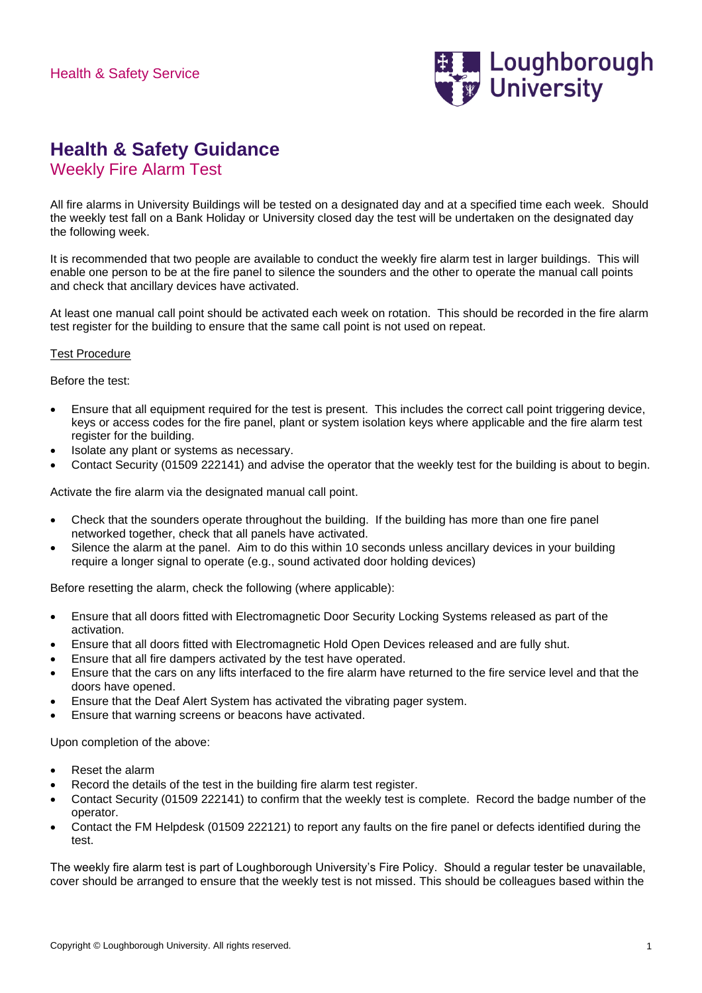

## **Health & Safety Guidance**

Weekly Fire Alarm Test

All fire alarms in University Buildings will be tested on a designated day and at a specified time each week. Should the weekly test fall on a Bank Holiday or University closed day the test will be undertaken on the designated day the following week.

It is recommended that two people are available to conduct the weekly fire alarm test in larger buildings. This will enable one person to be at the fire panel to silence the sounders and the other to operate the manual call points and check that ancillary devices have activated.

At least one manual call point should be activated each week on rotation. This should be recorded in the fire alarm test register for the building to ensure that the same call point is not used on repeat.

## Test Procedure

Before the test:

- Ensure that all equipment required for the test is present. This includes the correct call point triggering device, keys or access codes for the fire panel, plant or system isolation keys where applicable and the fire alarm test register for the building.
- Isolate any plant or systems as necessary.
- Contact Security (01509 222141) and advise the operator that the weekly test for the building is about to begin.

Activate the fire alarm via the designated manual call point.

- Check that the sounders operate throughout the building. If the building has more than one fire panel networked together, check that all panels have activated.
- Silence the alarm at the panel. Aim to do this within 10 seconds unless ancillary devices in your building require a longer signal to operate (e.g., sound activated door holding devices)

Before resetting the alarm, check the following (where applicable):

- Ensure that all doors fitted with Electromagnetic Door Security Locking Systems released as part of the activation.
- Ensure that all doors fitted with Electromagnetic Hold Open Devices released and are fully shut.
- Ensure that all fire dampers activated by the test have operated.
- Ensure that the cars on any lifts interfaced to the fire alarm have returned to the fire service level and that the doors have opened.
- Ensure that the Deaf Alert System has activated the vibrating pager system.
- Ensure that warning screens or beacons have activated.

Upon completion of the above:

- Reset the alarm
- Record the details of the test in the building fire alarm test register.
- Contact Security (01509 222141) to confirm that the weekly test is complete. Record the badge number of the operator.
- Contact the FM Helpdesk (01509 222121) to report any faults on the fire panel or defects identified during the test.

The weekly fire alarm test is part of Loughborough University's Fire Policy. Should a regular tester be unavailable, cover should be arranged to ensure that the weekly test is not missed. This should be colleagues based within the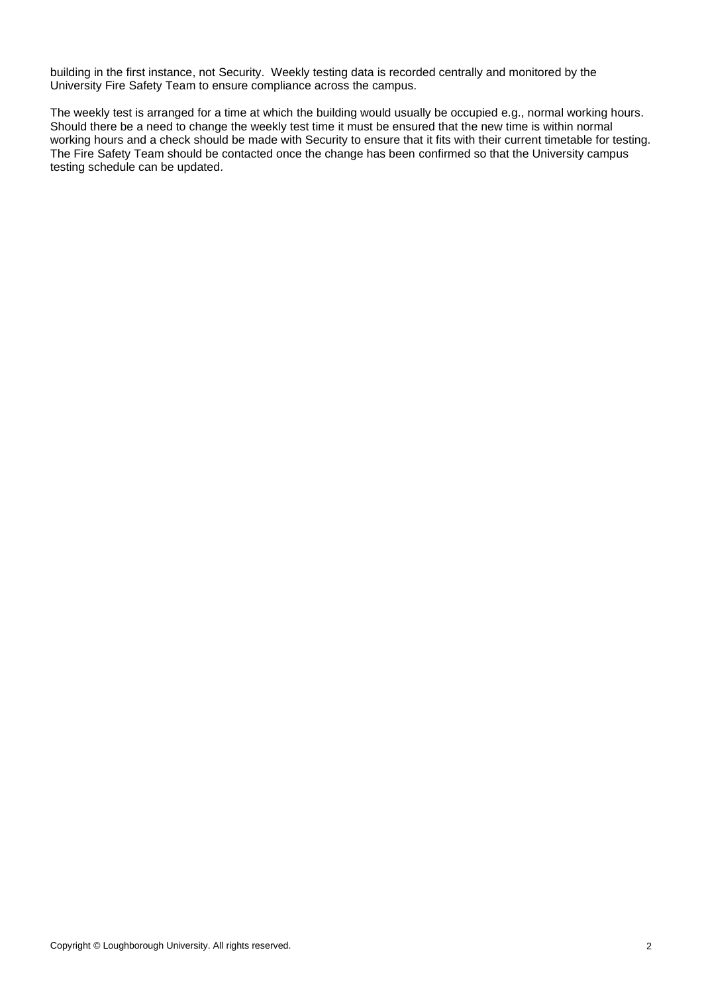building in the first instance, not Security. Weekly testing data is recorded centrally and monitored by the University Fire Safety Team to ensure compliance across the campus.

The weekly test is arranged for a time at which the building would usually be occupied e.g., normal working hours. Should there be a need to change the weekly test time it must be ensured that the new time is within normal working hours and a check should be made with Security to ensure that it fits with their current timetable for testing. The Fire Safety Team should be contacted once the change has been confirmed so that the University campus testing schedule can be updated.